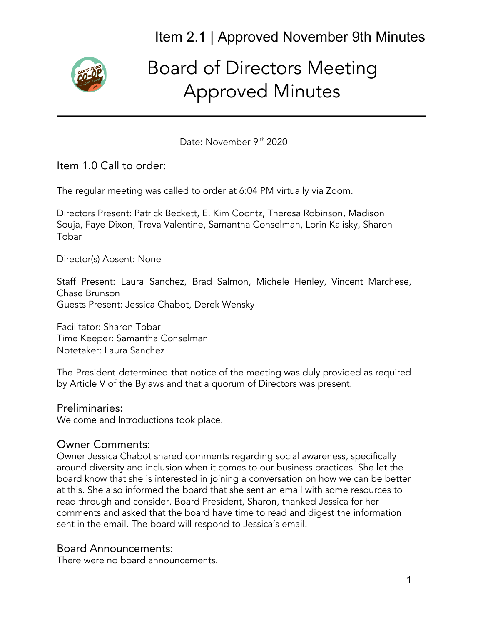

# Board of Directors Meeting Approved Minutes

Date: November 9<sup>,th</sup> 2020

# Item 1.0 Call to order:

The regular meeting was called to order at 6:04 PM virtually via Zoom.

Directors Present: Patrick Beckett, E. Kim Coontz, Theresa Robinson, Madison Souja, Faye Dixon, Treva Valentine, Samantha Conselman, Lorin Kalisky, Sharon Tobar

Director(s) Absent: None

Staff Present: Laura Sanchez, Brad Salmon, Michele Henley, Vincent Marchese, Chase Brunson Guests Present: Jessica Chabot, Derek Wensky

Facilitator: Sharon Tobar Time Keeper: Samantha Conselman Notetaker: Laura Sanchez

The President determined that notice of the meeting was duly provided as required by Article V of the Bylaws and that a quorum of Directors was present.

#### Preliminaries:

Welcome and Introductions took place.

#### Owner Comments:

Owner Jessica Chabot shared comments regarding social awareness, specifically around diversity and inclusion when it comes to our business practices. She let the board know that she is interested in joining a conversation on how we can be better at this. She also informed the board that she sent an email with some resources to read through and consider. Board President, Sharon, thanked Jessica for her comments and asked that the board have time to read and digest the information sent in the email. The board will respond to Jessica's email.

#### Board Announcements:

There were no board announcements.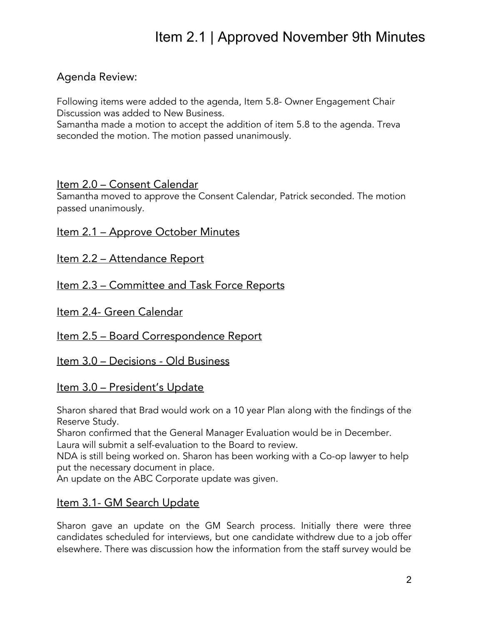# Agenda Review:

Following items were added to the agenda, Item 5.8- Owner Engagement Chair Discussion was added to New Business.

Samantha made a motion to accept the addition of item 5.8 to the agenda. Treva seconded the motion. The motion passed unanimously.

#### Item 2.0 - Consent Calendar

Samantha moved to approve the Consent Calendar, Patrick seconded. The motion passed unanimously.

Item 2.1 - Approve October Minutes

Item 2.2 – Attendance Report

Item 2.3 - Committee and Task Force Reports

Item 2.4- Green Calendar

Item 2.5 - Board Correspondence Report

Item 3.0 – Decisions - Old Business

# <u>Item 3.0 – President's Update</u>

Sharon shared that Brad would work on a 10 year Plan along with the findings of the Reserve Study.

Sharon confirmed that the General Manager Evaluation would be in December. Laura will submit a self-evaluation to the Board to review.

NDA is still being worked on. Sharon has been working with a Co-op lawyer to help put the necessary document in place.

An update on the ABC Corporate update was given.

# Item 3.1- GM Search Update

Sharon gave an update on the GM Search process. Initially there were three candidates scheduled for interviews, but one candidate withdrew due to a job offer elsewhere. There was discussion how the information from the staff survey would be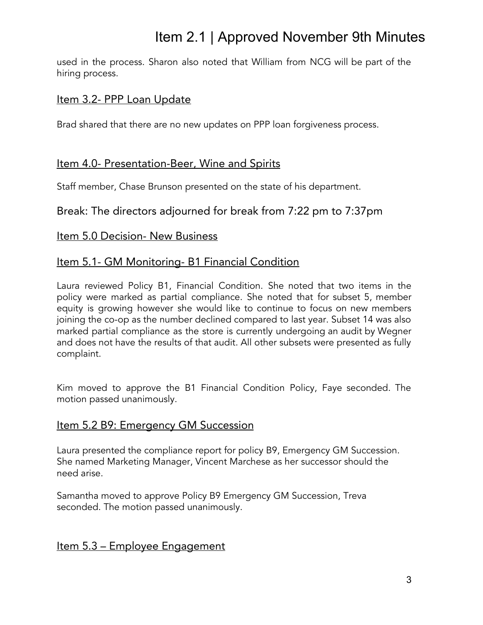used in the process. Sharon also noted that William from NCG will be part of the hiring process.

### Item 3.2- PPP Loan Update

Brad shared that there are no new updates on PPP loan forgiveness process.

### Item 4.0- Presentation-Beer, Wine and Spirits

Staff member, Chase Brunson presented on the state of his department.

### Break: The directors adjourned for break from 7:22 pm to 7:37pm

#### Item 5.0 Decision- New Business

#### Item 5.1- GM Monitoring- B1 Financial Condition

Laura reviewed Policy B1, Financial Condition. She noted that two items in the policy were marked as partial compliance. She noted that for subset 5, member equity is growing however she would like to continue to focus on new members joining the co-op as the number declined compared to last year. Subset 14 was also marked partial compliance as the store is currently undergoing an audit by Wegner and does not have the results of that audit. All other subsets were presented as fully complaint.

Kim moved to approve the B1 Financial Condition Policy, Faye seconded. The motion passed unanimously.

#### Item 5.2 B9: Emergency GM Succession

Laura presented the compliance report for policy B9, Emergency GM Succession. She named Marketing Manager, Vincent Marchese as her successor should the need arise.

Samantha moved to approve Policy B9 Emergency GM Succession, Treva seconded. The motion passed unanimously.

# Item 5.3 – Employee Engagement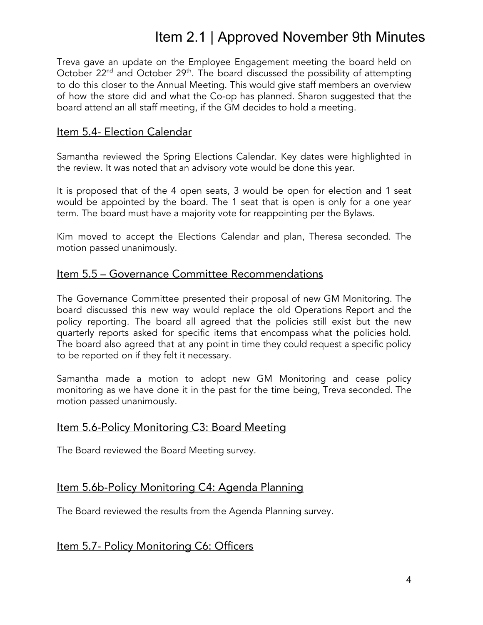Treva gave an update on the Employee Engagement meeting the board held on October 22<sup>nd</sup> and October 29<sup>th</sup>. The board discussed the possibility of attempting to do this closer to the Annual Meeting. This would give staff members an overview of how the store did and what the Co-op has planned. Sharon suggested that the board attend an all staff meeting, if the GM decides to hold a meeting.

#### Item 5.4- Election Calendar

Samantha reviewed the Spring Elections Calendar. Key dates were highlighted in the review. It was noted that an advisory vote would be done this year.

It is proposed that of the 4 open seats, 3 would be open for election and 1 seat would be appointed by the board. The 1 seat that is open is only for a one year term. The board must have a majority vote for reappointing per the Bylaws.

Kim moved to accept the Elections Calendar and plan, Theresa seconded. The motion passed unanimously.

#### Item 5.5 – Governance Committee Recommendations

The Governance Committee presented their proposal of new GM Monitoring. The board discussed this new way would replace the old Operations Report and the policy reporting. The board all agreed that the policies still exist but the new quarterly reports asked for specific items that encompass what the policies hold. The board also agreed that at any point in time they could request a specific policy to be reported on if they felt it necessary.

Samantha made a motion to adopt new GM Monitoring and cease policy monitoring as we have done it in the past for the time being, Treva seconded. The motion passed unanimously.

#### Item 5.6-Policy Monitoring C3: Board Meeting

The Board reviewed the Board Meeting survey.

#### Item 5.6b-Policy Monitoring C4: Agenda Planning

The Board reviewed the results from the Agenda Planning survey.

#### Item 5.7- Policy Monitoring C6: Officers